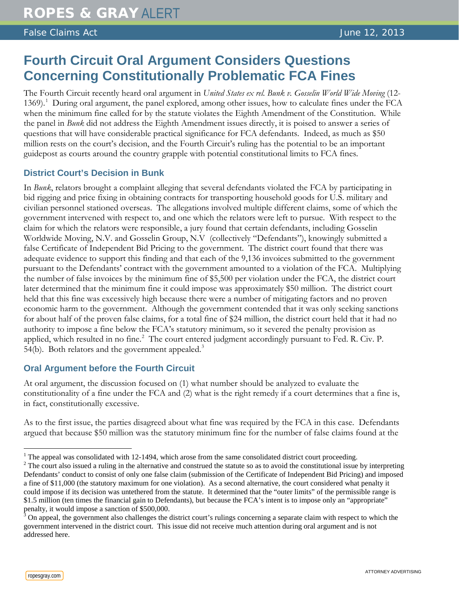False Claims Act June 12, 2013

## **Fourth Circuit Oral Argument Considers Questions Concerning Constitutionally Problematic FCA Fines**

The Fourth Circuit recently heard oral argument in *United States ex rel. Bunk v. Gosselin World Wide Moving* (12- [1](#page-0-0)369).<sup>1</sup> During oral argument, the panel explored, among other issues, how to calculate fines under the FCA when the minimum fine called for by the statute violates the Eighth Amendment of the Constitution. While the panel in *Bunk* did not address the Eighth Amendment issues directly, it is poised to answer a series of questions that will have considerable practical significance for FCA defendants. Indeed, as much as \$50 million rests on the court's decision, and the Fourth Circuit's ruling has the potential to be an important guidepost as courts around the country grapple with potential constitutional limits to FCA fines.

## **District Court's Decision in Bunk**

In *Bunk*, relators brought a complaint alleging that several defendants violated the FCA by participating in bid rigging and price fixing in obtaining contracts for transporting household goods for U.S. military and civilian personnel stationed overseas. The allegations involved multiple different claims, some of which the government intervened with respect to, and one which the relators were left to pursue. With respect to the claim for which the relators were responsible, a jury found that certain defendants, including Gosselin Worldwide Moving, N.V. and Gosselin Group, N.V (collectively "Defendants"), knowingly submitted a false Certificate of Independent Bid Pricing to the government. The district court found that there was adequate evidence to support this finding and that each of the 9,136 invoices submitted to the government pursuant to the Defendants' contract with the government amounted to a violation of the FCA. Multiplying the number of false invoices by the minimum fine of \$5,500 per violation under the FCA, the district court later determined that the minimum fine it could impose was approximately \$50 million. The district court held that this fine was excessively high because there were a number of mitigating factors and no proven economic harm to the government. Although the government contended that it was only seeking sanctions for about half of the proven false claims, for a total fine of \$24 million, the district court held that it had no authority to impose a fine below the FCA's statutory minimum, so it severed the penalty provision as applied, which resulted in no fine.<sup>[2](#page-0-1)</sup> The court entered judgment accordingly pursuant to Fed. R. Civ. P. 54(b). Both relators and the government appealed.<sup>[3](#page-0-2)</sup>

## **Oral Argument before the Fourth Circuit**

At oral argument, the discussion focused on (1) what number should be analyzed to evaluate the constitutionality of a fine under the FCA and (2) what is the right remedy if a court determines that a fine is, in fact, constitutionally excessive.

As to the first issue, the parties disagreed about what fine was required by the FCA in this case. Defendants argued that because \$50 million was the statutory minimum fine for the number of false claims found at the

<span id="page-0-1"></span>

<span id="page-0-0"></span> $\frac{1}{2}$  The appeal was consolidated with 12-1494, which arose from the same consolidated district court proceeding.<br> $\frac{2}{2}$  The court also issued a ruling in the alternative and construed the statute so as to avoid th Defendants' conduct to consist of only one false claim (submission of the Certificate of Independent Bid Pricing) and imposed a fine of \$11,000 (the statutory maximum for one violation). As a second alternative, the court considered what penalty it could impose if its decision was untethered from the statute. It determined that the "outer limits" of the permissible range is \$1.5 million (ten times the financial gain to Defendants), but because the FCA's intent is to impose only an "appropriate" penalty, it would impose a sanction of \$500,000.

<span id="page-0-2"></span><sup>&</sup>lt;sup>3</sup> On appeal, the government also challenges the district court's rulings concerning a separate claim with respect to which the government intervened in the district court. This issue did not receive much attention during oral argument and is not addressed here.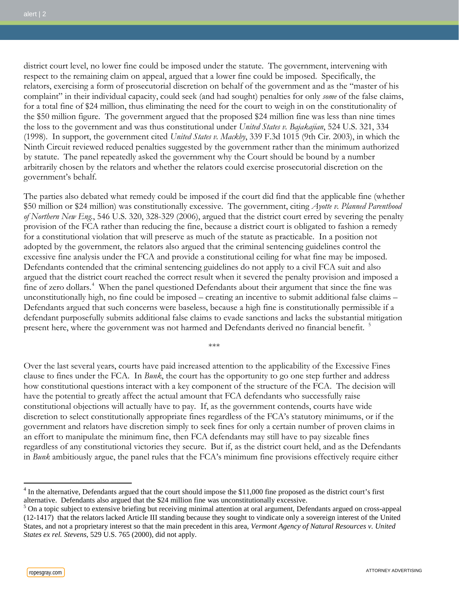district court level, no lower fine could be imposed under the statute. The government, intervening with respect to the remaining claim on appeal, argued that a lower fine could be imposed. Specifically, the relators, exercising a form of prosecutorial discretion on behalf of the government and as the "master of his complaint" in their individual capacity, could seek (and had sought) penalties for only *some* of the false claims, for a total fine of \$24 million, thus eliminating the need for the court to weigh in on the constitutionality of the \$50 million figure. The government argued that the proposed \$24 million fine was less than nine times the loss to the government and was thus constitutional under *United States v. Bajakajian*, 524 U.S. 321, 334 (1998). In support, the government cited *United States v. Mackby*, 339 F.3d 1015 (9th Cir. 2003), in which the Ninth Circuit reviewed reduced penalties suggested by the government rather than the minimum authorized by statute. The panel repeatedly asked the government why the Court should be bound by a number arbitrarily chosen by the relators and whether the relators could exercise prosecutorial discretion on the government's behalf.

The parties also debated what remedy could be imposed if the court did find that the applicable fine (whether \$50 million or \$24 million) was constitutionally excessive. The government, citing *Ayotte v. Planned Parenthood of Northern New Eng.*, 546 U.S. 320, 328-329 (2006), argued that the district court erred by severing the penalty provision of the FCA rather than reducing the fine, because a district court is obligated to fashion a remedy for a constitutional violation that will preserve as much of the statute as practicable. In a position not adopted by the government, the relators also argued that the criminal sentencing guidelines control the excessive fine analysis under the FCA and provide a constitutional ceiling for what fine may be imposed. Defendants contended that the criminal sentencing guidelines do not apply to a civil FCA suit and also argued that the district court reached the correct result when it severed the penalty provision and imposed a fine of zero dollars.<sup>[4](#page-1-0)</sup> When the panel questioned Defendants about their argument that since the fine was unconstitutionally high, no fine could be imposed – creating an incentive to submit additional false claims – Defendants argued that such concerns were baseless, because a high fine is constitutionally permissible if a defendant purposefully submits additional false claims to evade sanctions and lacks the substantial mitigation present here, where the government was not harmed and Defendants derived no financial benefit.<sup>[5](#page-1-1)</sup>

Over the last several years, courts have paid increased attention to the applicability of the Excessive Fines clause to fines under the FCA. In *Bunk*, the court has the opportunity to go one step further and address how constitutional questions interact with a key component of the structure of the FCA. The decision will have the potential to greatly affect the actual amount that FCA defendants who successfully raise constitutional objections will actually have to pay. If, as the government contends, courts have wide discretion to select constitutionally appropriate fines regardless of the FCA's statutory minimums, or if the government and relators have discretion simply to seek fines for only a certain number of proven claims in an effort to manipulate the minimum fine, then FCA defendants may still have to pay sizeable fines regardless of any constitutional victories they secure. But if, as the district court held, and as the Defendants in *Bunk* ambitiously argue, the panel rules that the FCA's minimum fine provisions effectively require either

\*\*\*

<span id="page-1-0"></span> $4$  In the alternative, Defendants argued that the court should impose the \$11,000 fine proposed as the district court's first alternative. Defendants also argued that the \$24 million fine was unconstitutionally excessive.

<span id="page-1-1"></span><sup>&</sup>lt;sup>5</sup> On a topic subject to extensive briefing but receiving minimal attention at oral argument, Defendants argued on cross-appeal (12-1417) that the relators lacked Article III standing because they sought to vindicate only a sovereign interest of the United States, and not a proprietary interest so that the main precedent in this area, *Vermont Agency of Natural Resources v. United States ex rel. Stevens*, 529 U.S. 765 (2000), did not apply.